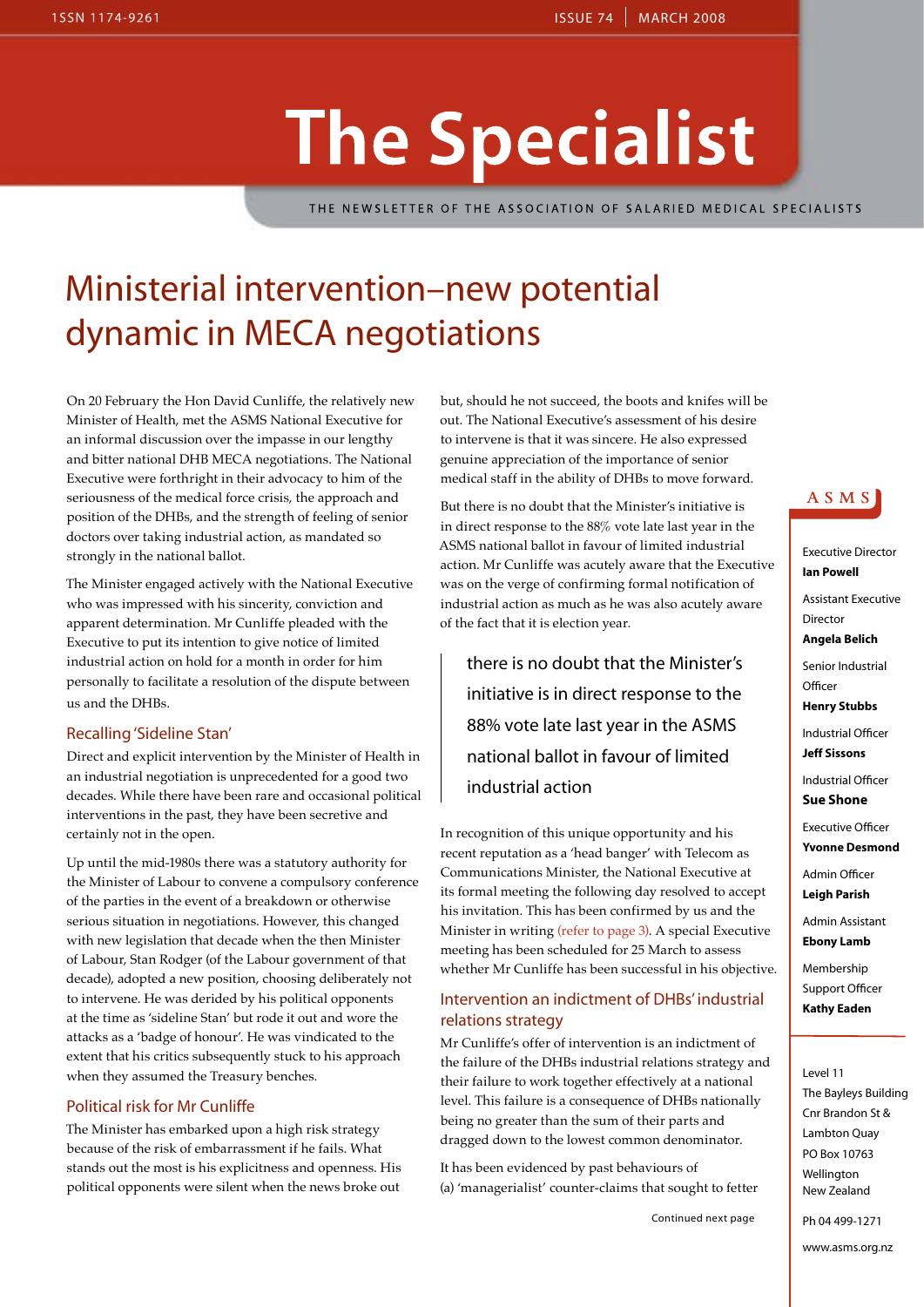## **The Specialist**

THE NEWSLETTER OF THE ASSOCIATION OF SALARIED MEDICAL SPECIALISTS

## Ministerial intervention–new potential dynamic in MECA negotiations

On 20 February the Hon David Cunliffe, the relatively new Minister of Health, met the ASMS National Executive for an informal discussion over the impasse in our lengthy and bitter national DHB MECA negotiations. The National Executive were forthright in their advocacy to him of the seriousness of the medical force crisis, the approach and position of the DHBs, and the strength of feeling of senior doctors over taking industrial action, as mandated so strongly in the national ballot.

The Minister engaged actively with the National Executive who was impressed with his sincerity, conviction and apparent determination. Mr Cunliffe pleaded with the Executive to put its intention to give notice of limited industrial action on hold for a month in order for him personally to facilitate a resolution of the dispute between us and the DHBs.

#### Recalling 'Sideline Stan'

Direct and explicit intervention by the Minister of Health in an industrial negotiation is unprecedented for a good two decades. While there have been rare and occasional political interventions in the past, they have been secretive and certainly not in the open.

Up until the mid-1980s there was a statutory authority for the Minister of Labour to convene a compulsory conference of the parties in the event of a breakdown or otherwise serious situation in negotiations. However, this changed with new legislation that decade when the then Minister of Labour, Stan Rodger (of the Labour government of that decade), adopted a new position, choosing deliberately not to intervene. He was derided by his political opponents at the time as 'sideline Stan' but rode it out and wore the attacks as a 'badge of honour'. He was vindicated to the extent that his critics subsequently stuck to his approach when they assumed the Treasury benches.

#### Political risk for Mr Cunliffe

The Minister has embarked upon a high risk strategy because of the risk of embarrassment if he fails. What stands out the most is his explicitness and openness. His political opponents were silent when the news broke out

but, should he not succeed, the boots and knifes will be out. The National Executive's assessment of his desire to intervene is that it was sincere. He also expressed genuine appreciation of the importance of senior medical staff in the ability of DHBs to move forward.

But there is no doubt that the Minister's initiative is in direct response to the 88% vote late last year in the ASMS national ballot in favour of limited industrial action. Mr Cunliffe was acutely aware that the Executive was on the verge of confirming formal notification of industrial action as much as he was also acutely aware of the fact that it is election year.

there is no doubt that the Minister's initiative is in direct response to the 88% vote late last year in the ASMS national ballot in favour of limited industrial action

In recognition of this unique opportunity and his recent reputation as a 'head banger' with Telecom as Communications Minister, the National Executive at its formal meeting the following day resolved to accept his invitation. This has been confirmed by us and the Minister in writing (refer to page 3). A special Executive meeting has been scheduled for 25 March to assess whether Mr Cunliffe has been successful in his objective.

#### Intervention an indictment of DHBs' industrial relations strategy

Mr Cunliffe's offer of intervention is an indictment of the failure of the DHBs industrial relations strategy and their failure to work together effectively at a national level. This failure is a consequence of DHBs nationally being no greater than the sum of their parts and dragged down to the lowest common denominator.

It has been evidenced by past behaviours of (a) 'managerialist' counter-claims that sought to fetter

Continued next page



Executive Director **Ian Powell** Assistant Executive

Director **Angela Belich**

Senior Industrial **Officer** 

**Henry Stubbs**

Industrial Officer **Jeff Sissons**

Industrial Officer **Sue Shone**

Executive Officer

**Yvonne Desmond**

Admin Officer

**Leigh Parish**

Admin Assistant **Ebony Lamb**

Membership Support Officer **Kathy Eaden**

#### Level 11

The Bayleys Building Cnr Brandon St & Lambton Quay PO Box 10763 Wellington New Zealand

Ph 04 499-1271

www.asms.org.nz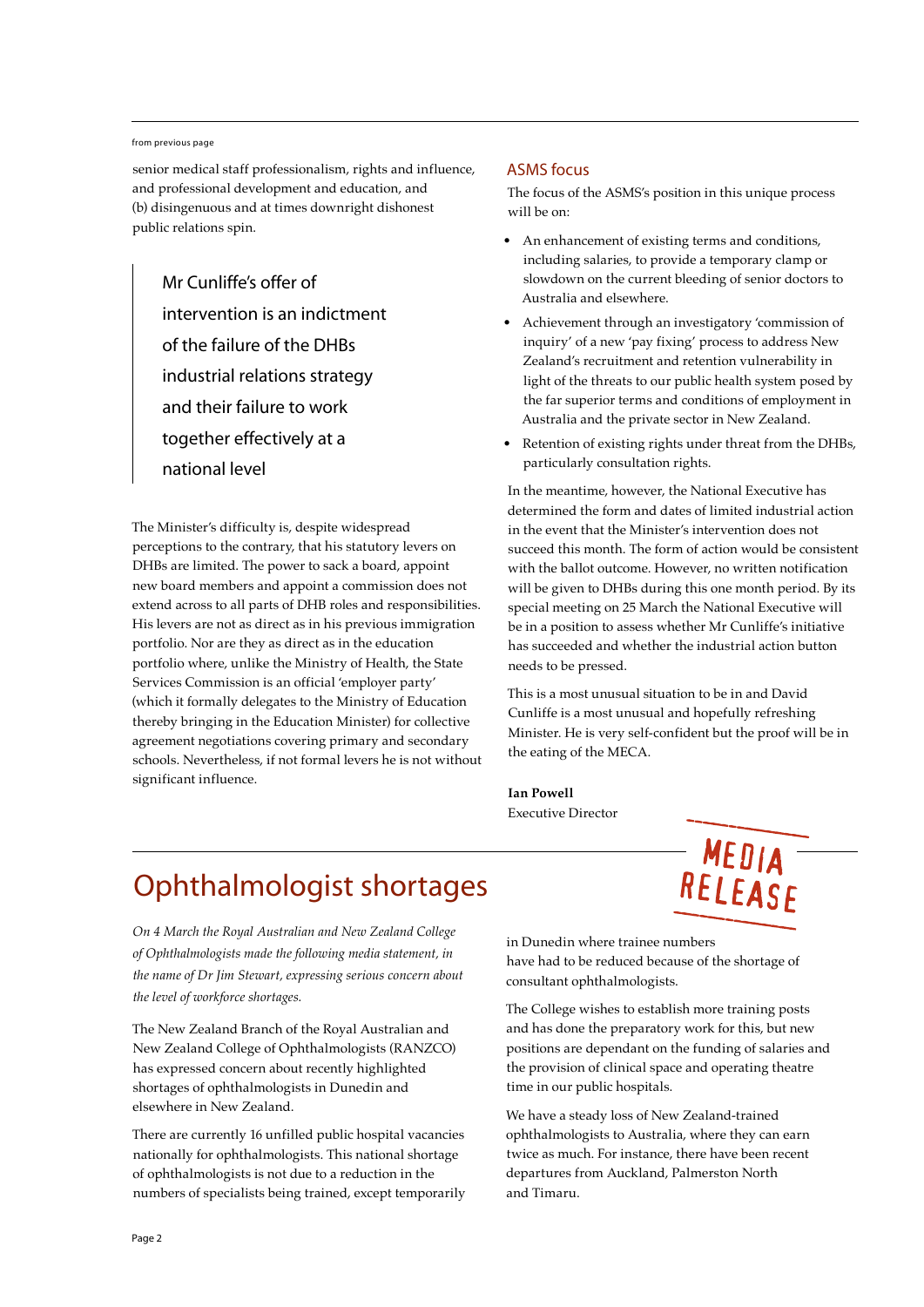#### from previous page

senior medical staff professionalism, rights and influence, and professional development and education, and (b) disingenuous and at times downright dishonest public relations spin.

Mr Cunliffe's offer of intervention is an indictment of the failure of the DHBs industrial relations strategy and their failure to work together effectively at a national level

The Minister's difficulty is, despite widespread perceptions to the contrary, that his statutory levers on DHBs are limited. The power to sack a board, appoint new board members and appoint a commission does not extend across to all parts of DHB roles and responsibilities. His levers are not as direct as in his previous immigration portfolio. Nor are they as direct as in the education portfolio where, unlike the Ministry of Health, the State Services Commission is an official 'employer party' (which it formally delegates to the Ministry of Education thereby bringing in the Education Minister) for collective agreement negotiations covering primary and secondary schools. Nevertheless, if not formal levers he is not without significant influence.

#### ASMS focus

The focus of the ASMS's position in this unique process will be on:

- An enhancement of existing terms and conditions. including salaries, to provide a temporary clamp or slowdown on the current bleeding of senior doctors to Australia and elsewhere.
- • Achievement through an investigatory 'commission of inquiry' of a new 'pay fixing' process to address New Zealand's recruitment and retention vulnerability in light of the threats to our public health system posed by the far superior terms and conditions of employment in Australia and the private sector in New Zealand.
- Retention of existing rights under threat from the DHBs, particularly consultation rights.

In the meantime, however, the National Executive has determined the form and dates of limited industrial action in the event that the Minister's intervention does not succeed this month. The form of action would be consistent with the ballot outcome. However, no written notification will be given to DHBs during this one month period. By its special meeting on 25 March the National Executive will be in a position to assess whether Mr Cunliffe's initiative has succeeded and whether the industrial action button needs to be pressed.

This is a most unusual situation to be in and David Cunliffe is a most unusual and hopefully refreshing Minister. He is very self-confident but the proof will be in the eating of the MECA.

MEDIA -

RELEASE

**Ian Powell** Executive Director

## Ophthalmologist shortages

*On 4 March the Royal Australian and New Zealand College of Ophthalmologists made the following media statement, in the name of Dr Jim Stewart, expressing serious concern about the level of workforce shortages.*

The New Zealand Branch of the Royal Australian and New Zealand College of Ophthalmologists (RANZCO) has expressed concern about recently highlighted shortages of ophthalmologists in Dunedin and elsewhere in New Zealand.

There are currently 16 unfilled public hospital vacancies nationally for ophthalmologists. This national shortage of ophthalmologists is not due to a reduction in the numbers of specialists being trained, except temporarily in Dunedin where trainee numbers have had to be reduced because of the shortage of consultant ophthalmologists.

The College wishes to establish more training posts and has done the preparatory work for this, but new positions are dependant on the funding of salaries and the provision of clinical space and operating theatre time in our public hospitals.

We have a steady loss of New Zealand-trained ophthalmologists to Australia, where they can earn twice as much. For instance, there have been recent departures from Auckland, Palmerston North and Timaru.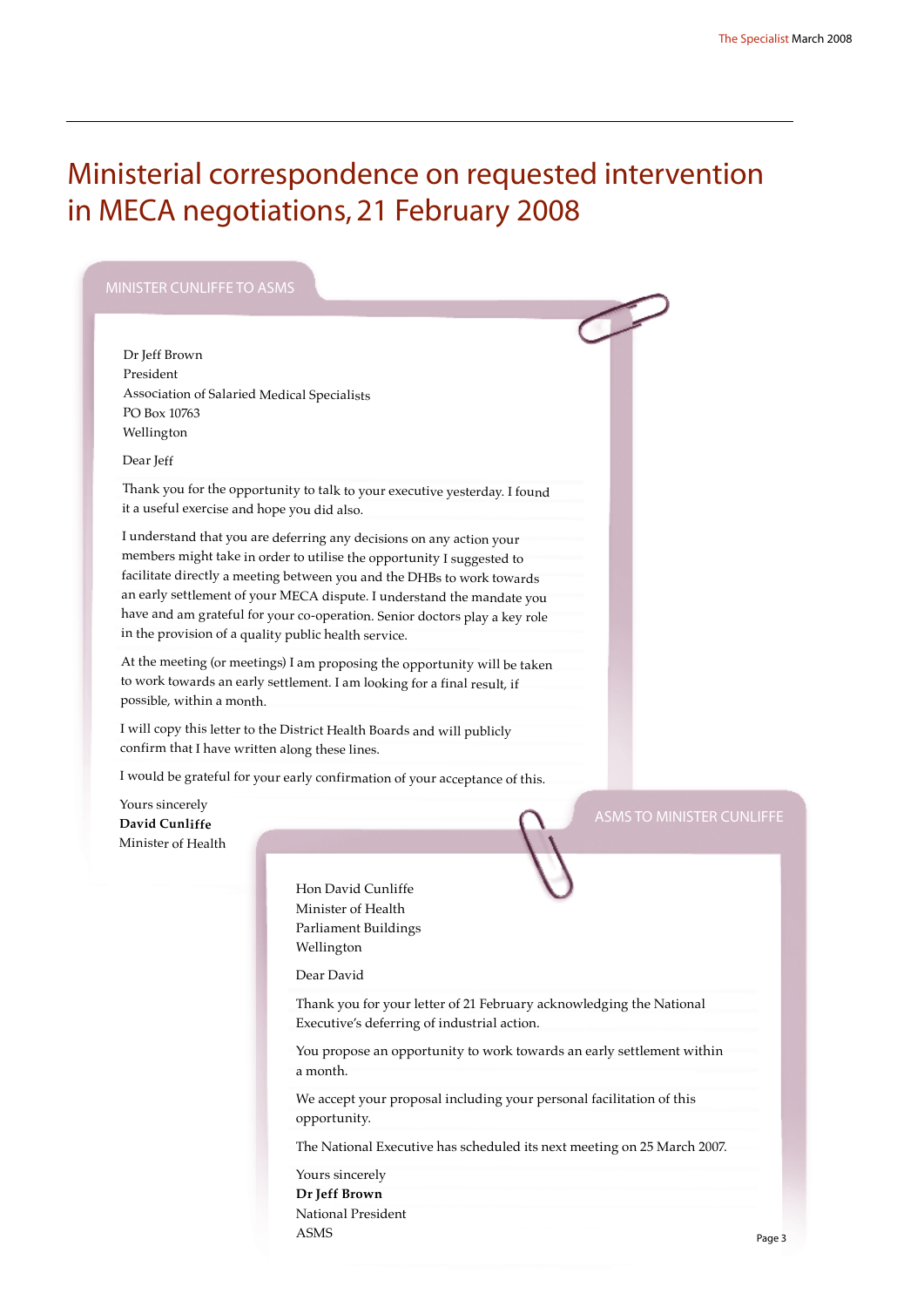## Ministerial correspondence on requested intervention in MECA negotiations, 21 February 2008

Dr Jeff Brown President Association of Salaried Medical Specialists PO Box 10763 Wellington

#### Dear Jeff

Thank you for the opportunity to talk to your executive yesterday. I found it a useful exercise and hope you did also.

I understand that you are deferring any decisions on any action your members might take in order to utilise the opportunity I suggested to facilitate directly a meeting between you and the DHBs to work towards an early settlement of your MECA dispute. I understand the mandate you have and am grateful for your co-operation. Senior doctors play a key role in the provision of a quality public health service.

At the meeting (or meetings) I am proposing the opportunity will be taken to work towards an early settlement. I am looking for a final result, if possible, within a month.

I will copy this letter to the District Health Boards and will publicly confirm that I have written along these lines.

I would be grateful for your early confirmation of your acceptance of this.

Yours sincerely **David Cunliffe** Minister of Health

> Hon David Cunliffe Minister of Health Parliament Buildings Wellington

Dear David

Thank you for your letter of 21 February acknowledging the National Executive's deferring of industrial action.

You propose an opportunity to work towards an early settlement within a month.

We accept your proposal including your personal facilitation of this opportunity.

The National Executive has scheduled its next meeting on 25 March 2007.

Yours sincerely **Dr Jeff Brown** National President ASMS

Page 3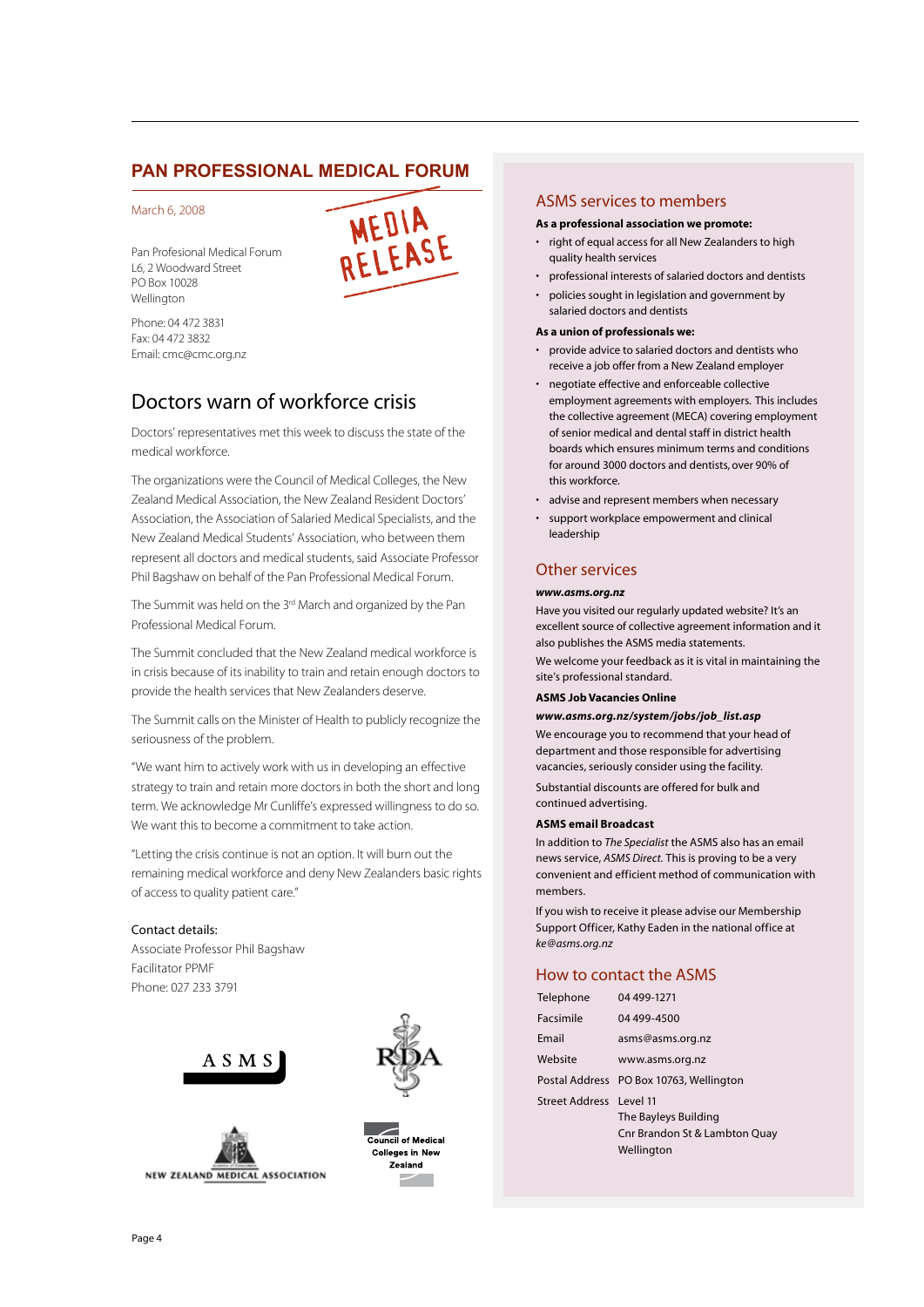#### **PAN PROFESSIONAL MEDICAL FORUM**

#### March 6, 2008

Pan Profesional Medical Forum L6, 2 Woodward Street PO Box 10028 Wellington



Phone: 04 472 3831 Fax: 04 472 3832 Email: cmc@cmc.org.nz

#### Doctors warn of workforce crisis

Doctors' representatives met this week to discuss the state of the medical workforce.

The organizations were the Council of Medical Colleges, the New Zealand Medical Association, the New Zealand Resident Doctors' Association, the Association of Salaried Medical Specialists, and the New Zealand Medical Students' Association, who between them represent all doctors and medical students, said Associate Professor Phil Bagshaw on behalf of the Pan Professional Medical Forum.

The Summit was held on the 3<sup>rd</sup> March and organized by the Pan Professional Medical Forum.

The Summit concluded that the New Zealand medical workforce is in crisis because of its inability to train and retain enough doctors to provide the health services that New Zealanders deserve.

The Summit calls on the Minister of Health to publicly recognize the seriousness of the problem.

"We want him to actively work with us in developing an effective strategy to train and retain more doctors in both the short and long term. We acknowledge Mr Cunliffe's expressed willingness to do so. We want this to become a commitment to take action.

"Letting the crisis continue is not an option. It will burn out the remaining medical workforce and deny New Zealanders basic rights of access to quality patient care."

#### Contact details:

Associate Professor Phil Bagshaw Facilitator PPMF Phone: 027 233 3791









#### ASMS services to members

#### **As a professional association we promote:**

- right of equal access for all New Zealanders to high quality health services
- professional interests of salaried doctors and dentists
- policies sought in legislation and government by salaried doctors and dentists

#### **As a union of professionals we:**

- provide advice to salaried doctors and dentists who receive a job offer from a New Zealand employer
- negotiate effective and enforceable collective employment agreements with employers. This includes the collective agreement (MECA) covering employment of senior medical and dental staff in district health boards which ensures minimum terms and conditions for around 3000 doctors and dentists, over 90% of this workforce.
- • advise and represent members when necessary
- support workplace empowerment and clinical leadership

#### Other services

#### *www.asms.org.nz*

Have you visited our regularly updated website? It's an excellent source of collective agreement information and it also publishes the ASMS media statements.

We welcome your feedback as it is vital in maintaining the site's professional standard.

#### **ASMS Job Vacancies Online**

#### *www.asms.org.nz/system/jobs/job\_list.asp*

We encourage you to recommend that your head of department and those responsible for advertising vacancies, seriously consider using the facility.

Substantial discounts are offered for bulk and continued advertising.

#### **ASMS email Broadcast**

In addition to *The Specialist* the ASMS also has an email news service, *ASMS Direct.* This is proving to be a very convenient and efficient method of communication with members.

If you wish to receive it please advise our Membership Support Officer, Kathy Eaden in the national office at *ke@asms.org.nz*

#### How to contact the ASMS

| Telephone               | 04 499-1271                                                         |
|-------------------------|---------------------------------------------------------------------|
| Facsimile               | 04 499-4500                                                         |
| Email                   | asms@asms.org.nz                                                    |
| Website                 | www.asms.org.nz                                                     |
|                         | Postal Address PO Box 10763, Wellington                             |
| Street Address Level 11 | The Bayleys Building<br>Cnr Brandon St & Lambton Quay<br>Wellington |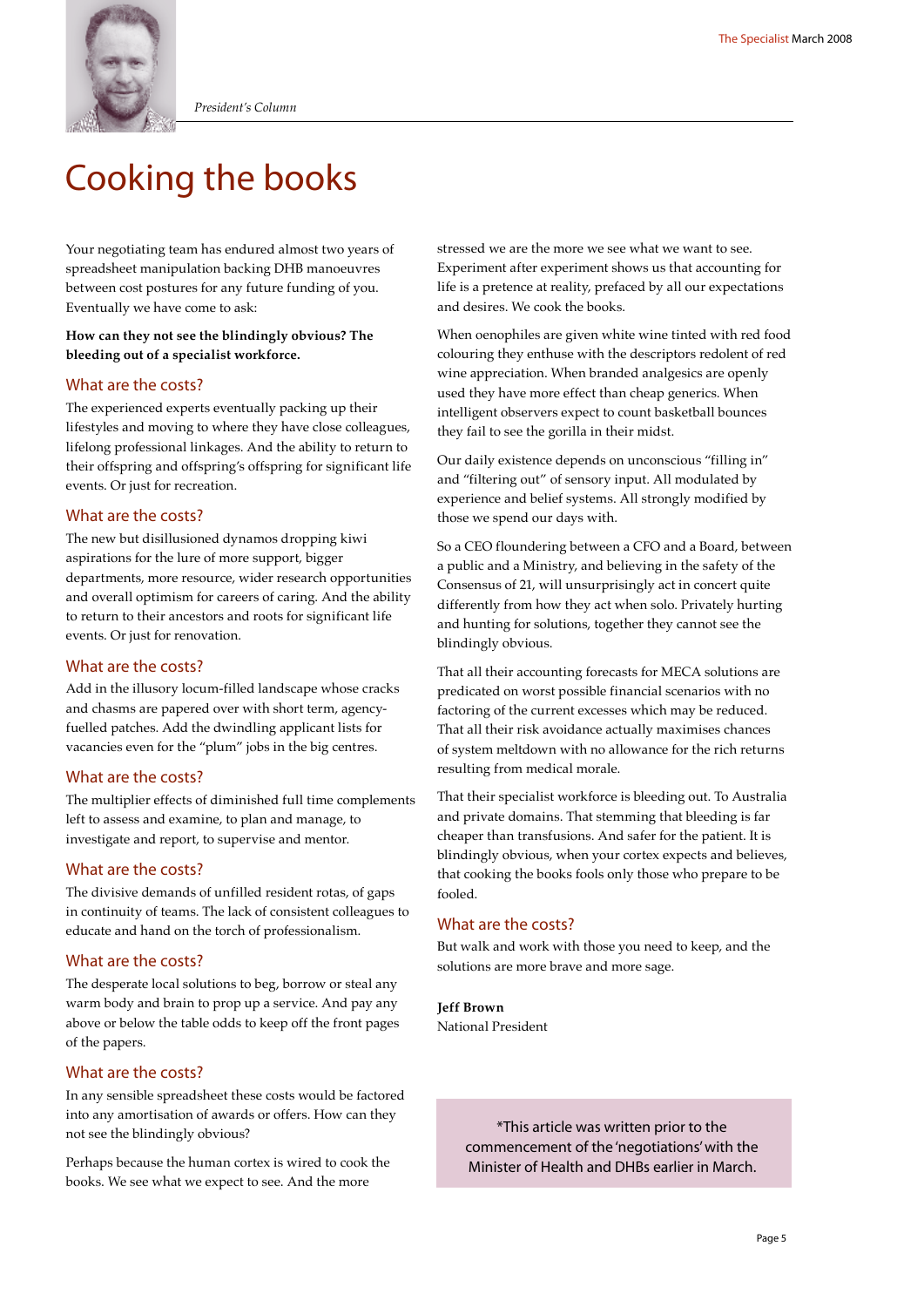

*President's Column*

## Cooking the books

Your negotiating team has endured almost two years of spreadsheet manipulation backing DHB manoeuvres between cost postures for any future funding of you. Eventually we have come to ask:

#### **How can they not see the blindingly obvious? The bleeding out of a specialist workforce.**

#### What are the costs?

The experienced experts eventually packing up their lifestyles and moving to where they have close colleagues, lifelong professional linkages. And the ability to return to their offspring and offspring's offspring for significant life events. Or just for recreation.

#### What are the costs?

The new but disillusioned dynamos dropping kiwi aspirations for the lure of more support, bigger departments, more resource, wider research opportunities and overall optimism for careers of caring. And the ability to return to their ancestors and roots for significant life events. Or just for renovation.

#### What are the costs?

Add in the illusory locum-filled landscape whose cracks and chasms are papered over with short term, agencyfuelled patches. Add the dwindling applicant lists for vacancies even for the "plum" jobs in the big centres.

#### What are the costs?

The multiplier effects of diminished full time complements left to assess and examine, to plan and manage, to investigate and report, to supervise and mentor.

#### What are the costs?

The divisive demands of unfilled resident rotas, of gaps in continuity of teams. The lack of consistent colleagues to educate and hand on the torch of professionalism.

#### What are the costs?

The desperate local solutions to beg, borrow or steal any warm body and brain to prop up a service. And pay any above or below the table odds to keep off the front pages of the papers.

#### What are the costs?

In any sensible spreadsheet these costs would be factored into any amortisation of awards or offers. How can they not see the blindingly obvious?

Perhaps because the human cortex is wired to cook the books. We see what we expect to see. And the more

stressed we are the more we see what we want to see. Experiment after experiment shows us that accounting for life is a pretence at reality, prefaced by all our expectations and desires. We cook the books.

When oenophiles are given white wine tinted with red food colouring they enthuse with the descriptors redolent of red wine appreciation. When branded analgesics are openly used they have more effect than cheap generics. When intelligent observers expect to count basketball bounces they fail to see the gorilla in their midst.

Our daily existence depends on unconscious "filling in" and "filtering out" of sensory input. All modulated by experience and belief systems. All strongly modified by those we spend our days with.

So a CEO floundering between a CFO and a Board, between a public and a Ministry, and believing in the safety of the Consensus of 21, will unsurprisingly act in concert quite differently from how they act when solo. Privately hurting and hunting for solutions, together they cannot see the blindingly obvious.

That all their accounting forecasts for MECA solutions are predicated on worst possible financial scenarios with no factoring of the current excesses which may be reduced. That all their risk avoidance actually maximises chances of system meltdown with no allowance for the rich returns resulting from medical morale.

That their specialist workforce is bleeding out. To Australia and private domains. That stemming that bleeding is far cheaper than transfusions. And safer for the patient. It is blindingly obvious, when your cortex expects and believes, that cooking the books fools only those who prepare to be fooled.

#### What are the costs?

But walk and work with those you need to keep, and the solutions are more brave and more sage.

**Jeff Brown** National President

> \*This article was written prior to the commencement of the 'negotiations' with the Minister of Health and DHBs earlier in March.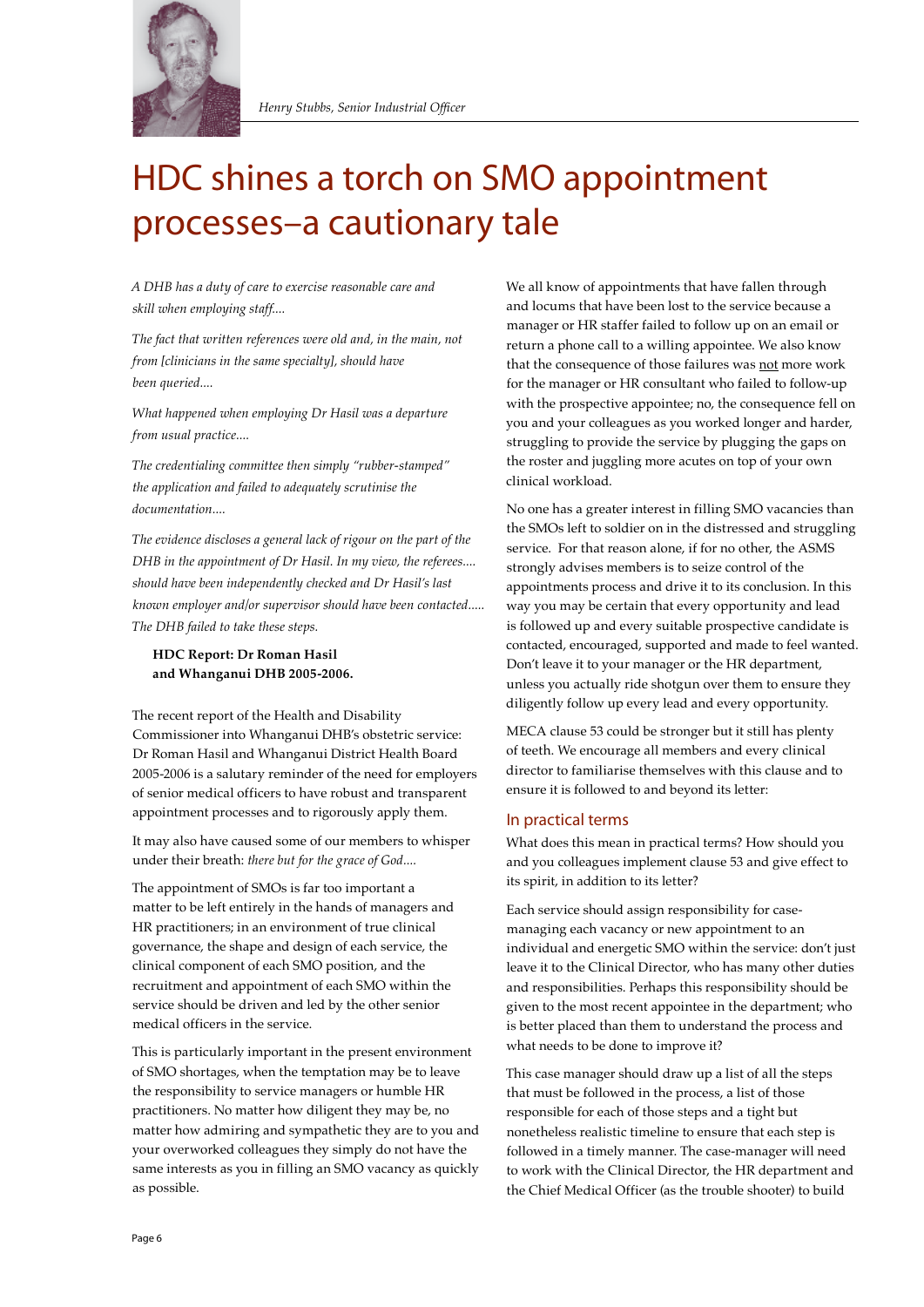

## HDC shines a torch on SMO appointment processes–a cautionary tale

*A DHB has a duty of care to exercise reasonable care and skill when employing staff....*

*The fact that written references were old and, in the main, not from [clinicians in the same specialty], should have been queried....*

*What happened when employing Dr Hasil was a departure from usual practice....*

*The credentialing committee then simply "rubber-stamped" the application and failed to adequately scrutinise the documentation....*

*The evidence discloses a general lack of rigour on the part of the DHB in the appointment of Dr Hasil. In my view, the referees.... should have been independently checked and Dr Hasil's last known employer and/or supervisor should have been contacted..... The DHB failed to take these steps.*

#### **HDC Report: Dr Roman Hasil and Whanganui DHB 2005-2006.**

The recent report of the Health and Disability Commissioner into Whanganui DHB's obstetric service: Dr Roman Hasil and Whanganui District Health Board 2005-2006 is a salutary reminder of the need for employers of senior medical officers to have robust and transparent appointment processes and to rigorously apply them.

It may also have caused some of our members to whisper under their breath: *there but for the grace of God....*

The appointment of SMOs is far too important a matter to be left entirely in the hands of managers and HR practitioners; in an environment of true clinical governance, the shape and design of each service, the clinical component of each SMO position, and the recruitment and appointment of each SMO within the service should be driven and led by the other senior medical officers in the service.

This is particularly important in the present environment of SMO shortages, when the temptation may be to leave the responsibility to service managers or humble HR practitioners. No matter how diligent they may be, no matter how admiring and sympathetic they are to you and your overworked colleagues they simply do not have the same interests as you in filling an SMO vacancy as quickly as possible.

We all know of appointments that have fallen through and locums that have been lost to the service because a manager or HR staffer failed to follow up on an email or return a phone call to a willing appointee. We also know that the consequence of those failures was not more work for the manager or HR consultant who failed to follow-up with the prospective appointee; no, the consequence fell on you and your colleagues as you worked longer and harder, struggling to provide the service by plugging the gaps on the roster and juggling more acutes on top of your own clinical workload.

No one has a greater interest in filling SMO vacancies than the SMOs left to soldier on in the distressed and struggling service. For that reason alone, if for no other, the ASMS strongly advises members is to seize control of the appointments process and drive it to its conclusion. In this way you may be certain that every opportunity and lead is followed up and every suitable prospective candidate is contacted, encouraged, supported and made to feel wanted. Don't leave it to your manager or the HR department, unless you actually ride shotgun over them to ensure they diligently follow up every lead and every opportunity.

MECA clause 53 could be stronger but it still has plenty of teeth. We encourage all members and every clinical director to familiarise themselves with this clause and to ensure it is followed to and beyond its letter:

#### In practical terms

What does this mean in practical terms? How should you and you colleagues implement clause 53 and give effect to its spirit, in addition to its letter?

Each service should assign responsibility for casemanaging each vacancy or new appointment to an individual and energetic SMO within the service: don't just leave it to the Clinical Director, who has many other duties and responsibilities. Perhaps this responsibility should be given to the most recent appointee in the department; who is better placed than them to understand the process and what needs to be done to improve it?

This case manager should draw up a list of all the steps that must be followed in the process, a list of those responsible for each of those steps and a tight but nonetheless realistic timeline to ensure that each step is followed in a timely manner. The case-manager will need to work with the Clinical Director, the HR department and the Chief Medical Officer (as the trouble shooter) to build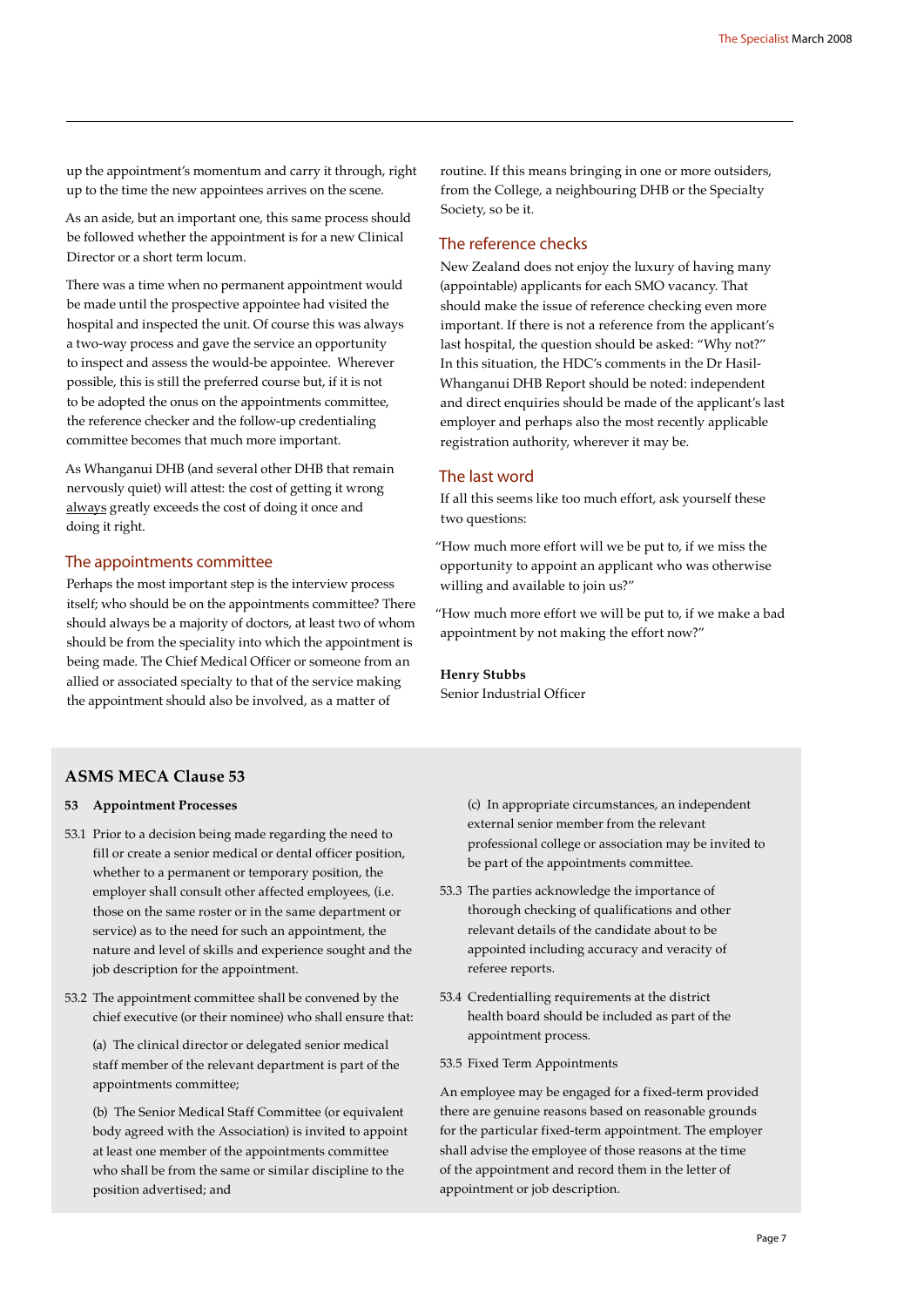up the appointment's momentum and carry it through, right up to the time the new appointees arrives on the scene.

As an aside, but an important one, this same process should be followed whether the appointment is for a new Clinical Director or a short term locum.

There was a time when no permanent appointment would be made until the prospective appointee had visited the hospital and inspected the unit. Of course this was always a two-way process and gave the service an opportunity to inspect and assess the would-be appointee. Wherever possible, this is still the preferred course but, if it is not to be adopted the onus on the appointments committee, the reference checker and the follow-up credentialing committee becomes that much more important.

As Whanganui DHB (and several other DHB that remain nervously quiet) will attest: the cost of getting it wrong always greatly exceeds the cost of doing it once and doing it right.

#### The appointments committee

Perhaps the most important step is the interview process itself; who should be on the appointments committee? There should always be a majority of doctors, at least two of whom should be from the speciality into which the appointment is being made. The Chief Medical Officer or someone from an allied or associated specialty to that of the service making the appointment should also be involved, as a matter of

routine. If this means bringing in one or more outsiders, from the College, a neighbouring DHB or the Specialty Society, so be it.

#### The reference checks

New Zealand does not enjoy the luxury of having many (appointable) applicants for each SMO vacancy. That should make the issue of reference checking even more important. If there is not a reference from the applicant's last hospital, the question should be asked: "Why not?" In this situation, the HDC's comments in the Dr Hasil-Whanganui DHB Report should be noted: independent and direct enquiries should be made of the applicant's last employer and perhaps also the most recently applicable registration authority, wherever it may be.

#### The last word

If all this seems like too much effort, ask yourself these two questions:

"How much more effort will we be put to, if we miss the opportunity to appoint an applicant who was otherwise willing and available to join us?"

"How much more effort we will be put to, if we make a bad appointment by not making the effort now?"

#### **Henry Stubbs**

Senior Industrial Officer

#### **ASMS MECA Clause 53**

#### **53 Appointment Processes**

- 53.1 Prior to a decision being made regarding the need to fill or create a senior medical or dental officer position, whether to a permanent or temporary position, the employer shall consult other affected employees, (i.e. those on the same roster or in the same department or service) as to the need for such an appointment, the nature and level of skills and experience sought and the job description for the appointment.
- 53.2 The appointment committee shall be convened by the chief executive (or their nominee) who shall ensure that:

 (a) The clinical director or delegated senior medical staff member of the relevant department is part of the appointments committee;

 (b) The Senior Medical Staff Committee (or equivalent body agreed with the Association) is invited to appoint at least one member of the appointments committee who shall be from the same or similar discipline to the position advertised; and

 (c) In appropriate circumstances, an independent external senior member from the relevant professional college or association may be invited to be part of the appointments committee.

- 53.3 The parties acknowledge the importance of thorough checking of qualifications and other relevant details of the candidate about to be appointed including accuracy and veracity of referee reports.
- 53.4 Credentialling requirements at the district health board should be included as part of the appointment process.
- 53.5 Fixed Term Appointments

An employee may be engaged for a fixed-term provided there are genuine reasons based on reasonable grounds for the particular fixed-term appointment. The employer shall advise the employee of those reasons at the time of the appointment and record them in the letter of appointment or job description.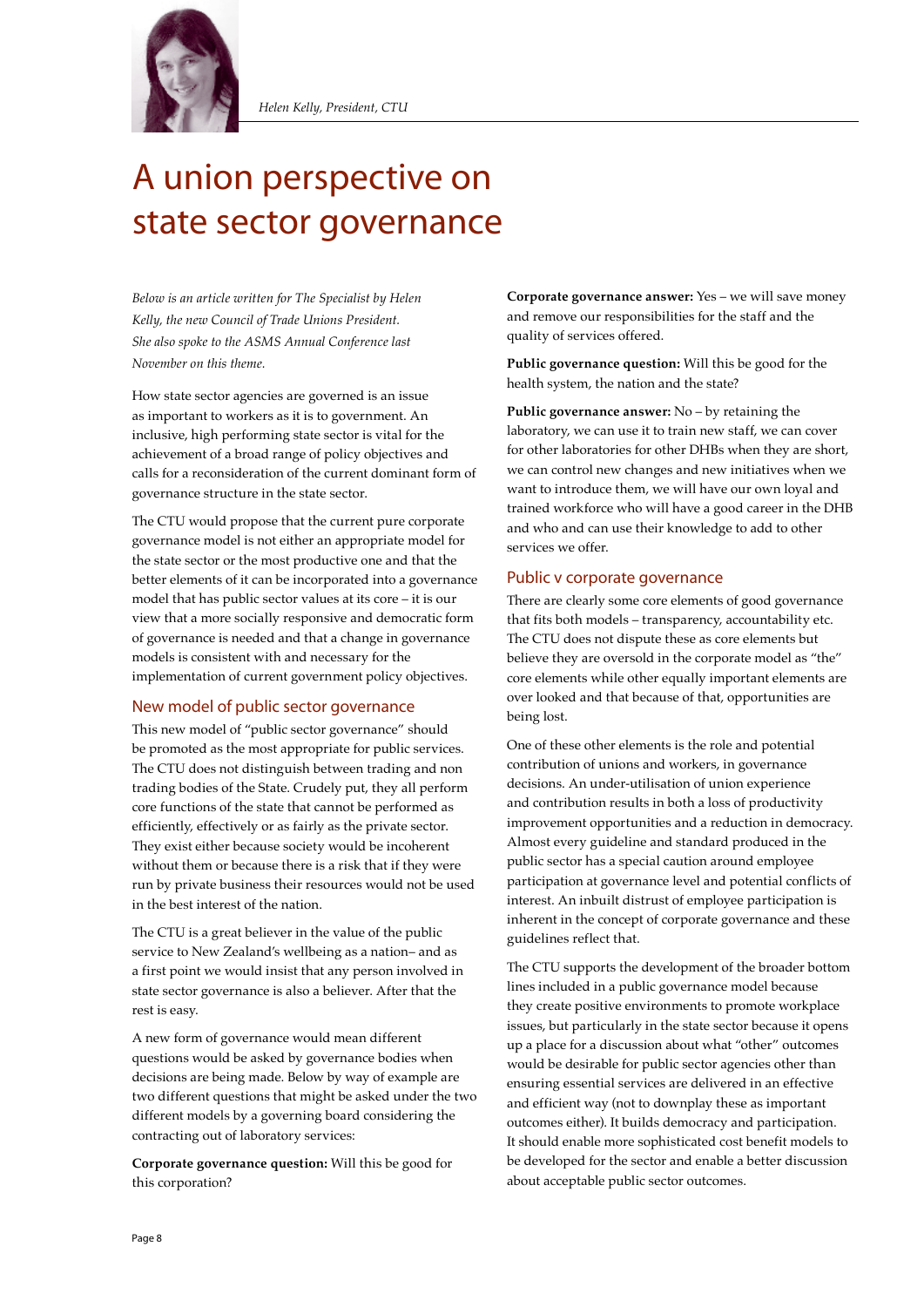

## A union perspective on state sector governance

*Below is an article written for The Specialist by Helen Kelly, the new Council of Trade Unions President. She also spoke to the ASMS Annual Conference last November on this theme.*

How state sector agencies are governed is an issue as important to workers as it is to government. An inclusive, high performing state sector is vital for the achievement of a broad range of policy objectives and calls for a reconsideration of the current dominant form of governance structure in the state sector.

The CTU would propose that the current pure corporate governance model is not either an appropriate model for the state sector or the most productive one and that the better elements of it can be incorporated into a governance model that has public sector values at its core – it is our view that a more socially responsive and democratic form of governance is needed and that a change in governance models is consistent with and necessary for the implementation of current government policy objectives.

#### New model of public sector governance

This new model of "public sector governance" should be promoted as the most appropriate for public services. The CTU does not distinguish between trading and non trading bodies of the State. Crudely put, they all perform core functions of the state that cannot be performed as efficiently, effectively or as fairly as the private sector. They exist either because society would be incoherent without them or because there is a risk that if they were run by private business their resources would not be used in the best interest of the nation.

The CTU is a great believer in the value of the public service to New Zealand's wellbeing as a nation– and as a first point we would insist that any person involved in state sector governance is also a believer. After that the rest is easy.

A new form of governance would mean different questions would be asked by governance bodies when decisions are being made. Below by way of example are two different questions that might be asked under the two different models by a governing board considering the contracting out of laboratory services:

**Corporate governance question:** Will this be good for this corporation?

**Corporate governance answer:** Yes – we will save money and remove our responsibilities for the staff and the quality of services offered.

**Public governance question:** Will this be good for the health system, the nation and the state?

**Public governance answer:** No – by retaining the laboratory, we can use it to train new staff, we can cover for other laboratories for other DHBs when they are short, we can control new changes and new initiatives when we want to introduce them, we will have our own loyal and trained workforce who will have a good career in the DHB and who and can use their knowledge to add to other services we offer.

#### Public v corporate governance

There are clearly some core elements of good governance that fits both models – transparency, accountability etc. The CTU does not dispute these as core elements but believe they are oversold in the corporate model as "the" core elements while other equally important elements are over looked and that because of that, opportunities are being lost.

One of these other elements is the role and potential contribution of unions and workers, in governance decisions. An under-utilisation of union experience and contribution results in both a loss of productivity improvement opportunities and a reduction in democracy. Almost every guideline and standard produced in the public sector has a special caution around employee participation at governance level and potential conflicts of interest. An inbuilt distrust of employee participation is inherent in the concept of corporate governance and these guidelines reflect that.

The CTU supports the development of the broader bottom lines included in a public governance model because they create positive environments to promote workplace issues, but particularly in the state sector because it opens up a place for a discussion about what "other" outcomes would be desirable for public sector agencies other than ensuring essential services are delivered in an effective and efficient way (not to downplay these as important outcomes either). It builds democracy and participation. It should enable more sophisticated cost benefit models to be developed for the sector and enable a better discussion about acceptable public sector outcomes.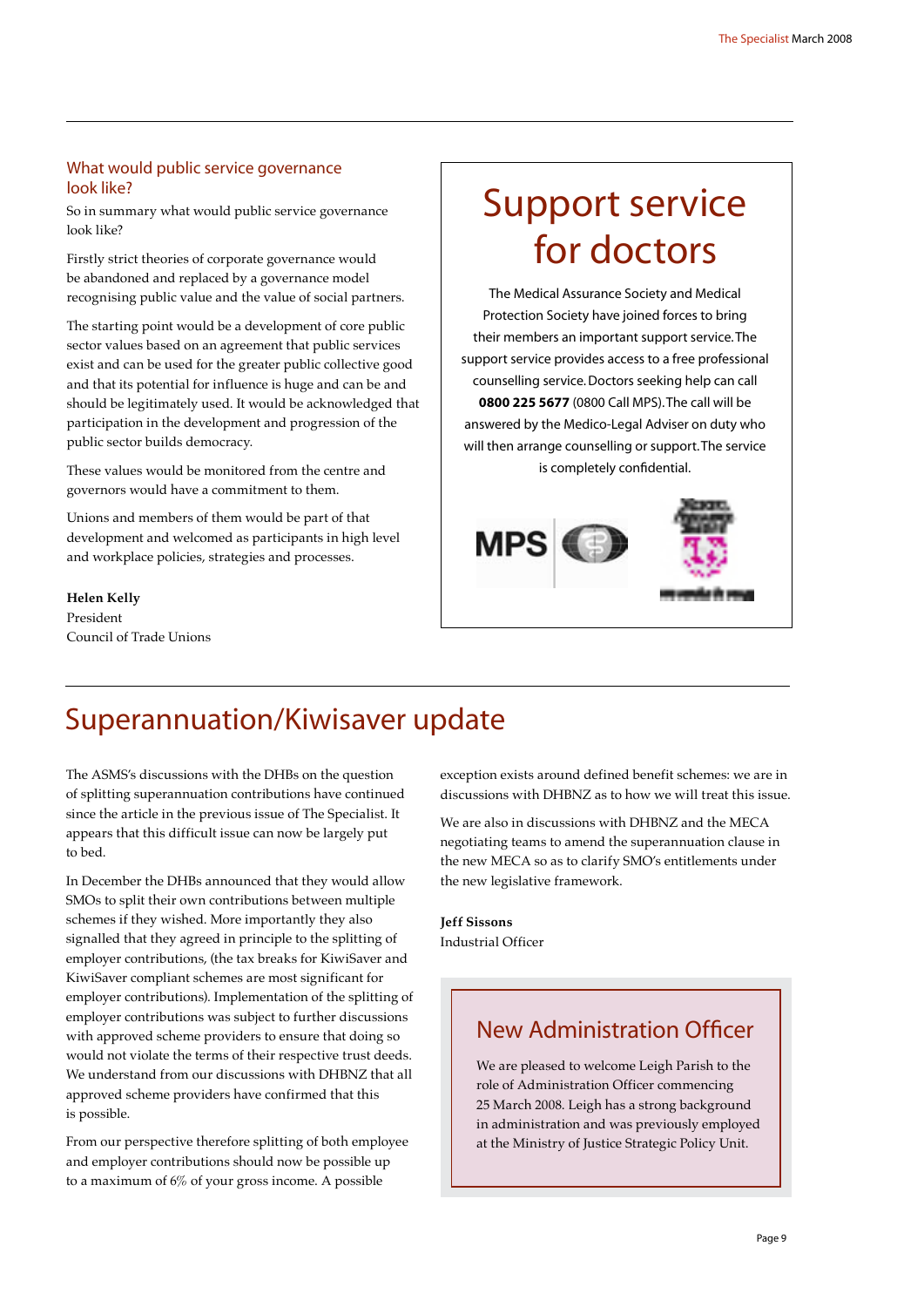#### What would public service governance look like?

So in summary what would public service governance look like?

Firstly strict theories of corporate governance would be abandoned and replaced by a governance model recognising public value and the value of social partners.

The starting point would be a development of core public sector values based on an agreement that public services exist and can be used for the greater public collective good and that its potential for influence is huge and can be and should be legitimately used. It would be acknowledged that participation in the development and progression of the public sector builds democracy.

These values would be monitored from the centre and governors would have a commitment to them.

Unions and members of them would be part of that development and welcomed as participants in high level and workplace policies, strategies and processes.

**Helen Kelly** President Council of Trade Unions

## Support service for doctors

The Medical Assurance Society and Medical Protection Society have joined forces to bring their members an important support service. The support service provides access to a free professional counselling service. Doctors seeking help can call **0800 225 5677** (0800 Call MPS). The call will be answered by the Medico-Legal Adviser on duty who will then arrange counselling or support. The service is completely confidential.



## Superannuation/Kiwisaver update

The ASMS's discussions with the DHBs on the question of splitting superannuation contributions have continued since the article in the previous issue of The Specialist. It appears that this difficult issue can now be largely put to bed.

In December the DHBs announced that they would allow SMOs to split their own contributions between multiple schemes if they wished. More importantly they also signalled that they agreed in principle to the splitting of employer contributions, (the tax breaks for KiwiSaver and KiwiSaver compliant schemes are most significant for employer contributions). Implementation of the splitting of employer contributions was subject to further discussions with approved scheme providers to ensure that doing so would not violate the terms of their respective trust deeds. We understand from our discussions with DHBNZ that all approved scheme providers have confirmed that this is possible.

From our perspective therefore splitting of both employee and employer contributions should now be possible up to a maximum of 6% of your gross income. A possible

exception exists around defined benefit schemes: we are in discussions with DHBNZ as to how we will treat this issue.

We are also in discussions with DHBNZ and the MECA negotiating teams to amend the superannuation clause in the new MECA so as to clarify SMO's entitlements under the new legislative framework.

**Jeff Sissons** Industrial Officer

### New Administration Officer

We are pleased to welcome Leigh Parish to the role of Administration Officer commencing 25 March 2008. Leigh has a strong background in administration and was previously employed at the Ministry of Justice Strategic Policy Unit.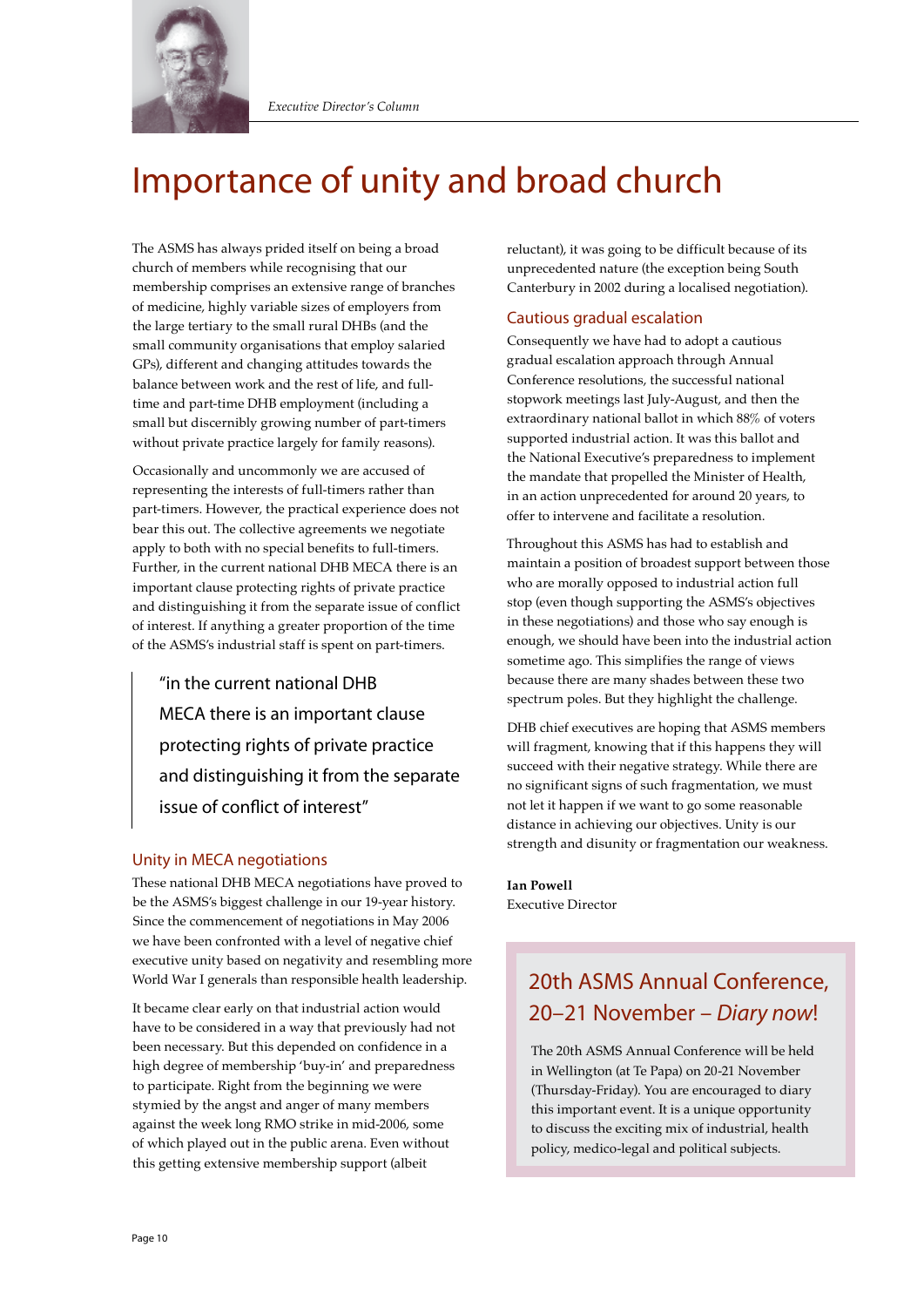

## Importance of unity and broad church

The ASMS has always prided itself on being a broad church of members while recognising that our membership comprises an extensive range of branches of medicine, highly variable sizes of employers from the large tertiary to the small rural DHBs (and the small community organisations that employ salaried GPs), different and changing attitudes towards the balance between work and the rest of life, and fulltime and part-time DHB employment (including a small but discernibly growing number of part-timers without private practice largely for family reasons).

Occasionally and uncommonly we are accused of representing the interests of full-timers rather than part-timers. However, the practical experience does not bear this out. The collective agreements we negotiate apply to both with no special benefits to full-timers. Further, in the current national DHB MECA there is an important clause protecting rights of private practice and distinguishing it from the separate issue of conflict of interest. If anything a greater proportion of the time of the ASMS's industrial staff is spent on part-timers.

"in the current national DHB MECA there is an important clause protecting rights of private practice and distinguishing it from the separate issue of conflict of interest"

#### Unity in MECA negotiations

These national DHB MECA negotiations have proved to be the ASMS's biggest challenge in our 19-year history. Since the commencement of negotiations in May 2006 we have been confronted with a level of negative chief executive unity based on negativity and resembling more World War I generals than responsible health leadership.

It became clear early on that industrial action would have to be considered in a way that previously had not been necessary. But this depended on confidence in a high degree of membership 'buy-in' and preparedness to participate. Right from the beginning we were stymied by the angst and anger of many members against the week long RMO strike in mid-2006, some of which played out in the public arena. Even without this getting extensive membership support (albeit

reluctant), it was going to be difficult because of its unprecedented nature (the exception being South Canterbury in 2002 during a localised negotiation).

#### Cautious gradual escalation

Consequently we have had to adopt a cautious gradual escalation approach through Annual Conference resolutions, the successful national stopwork meetings last July-August, and then the extraordinary national ballot in which 88% of voters supported industrial action. It was this ballot and the National Executive's preparedness to implement the mandate that propelled the Minister of Health, in an action unprecedented for around 20 years, to offer to intervene and facilitate a resolution.

Throughout this ASMS has had to establish and maintain a position of broadest support between those who are morally opposed to industrial action full stop (even though supporting the ASMS's objectives in these negotiations) and those who say enough is enough, we should have been into the industrial action sometime ago. This simplifies the range of views because there are many shades between these two spectrum poles. But they highlight the challenge.

DHB chief executives are hoping that ASMS members will fragment, knowing that if this happens they will succeed with their negative strategy. While there are no significant signs of such fragmentation, we must not let it happen if we want to go some reasonable distance in achieving our objectives. Unity is our strength and disunity or fragmentation our weakness.

**Ian Powell** Executive Director

## 20th ASMS Annual Conference, 20–21 November – *Diary now*!

The 20th ASMS Annual Conference will be held in Wellington (at Te Papa) on 20-21 November (Thursday-Friday). You are encouraged to diary this important event. It is a unique opportunity to discuss the exciting mix of industrial, health policy, medico-legal and political subjects.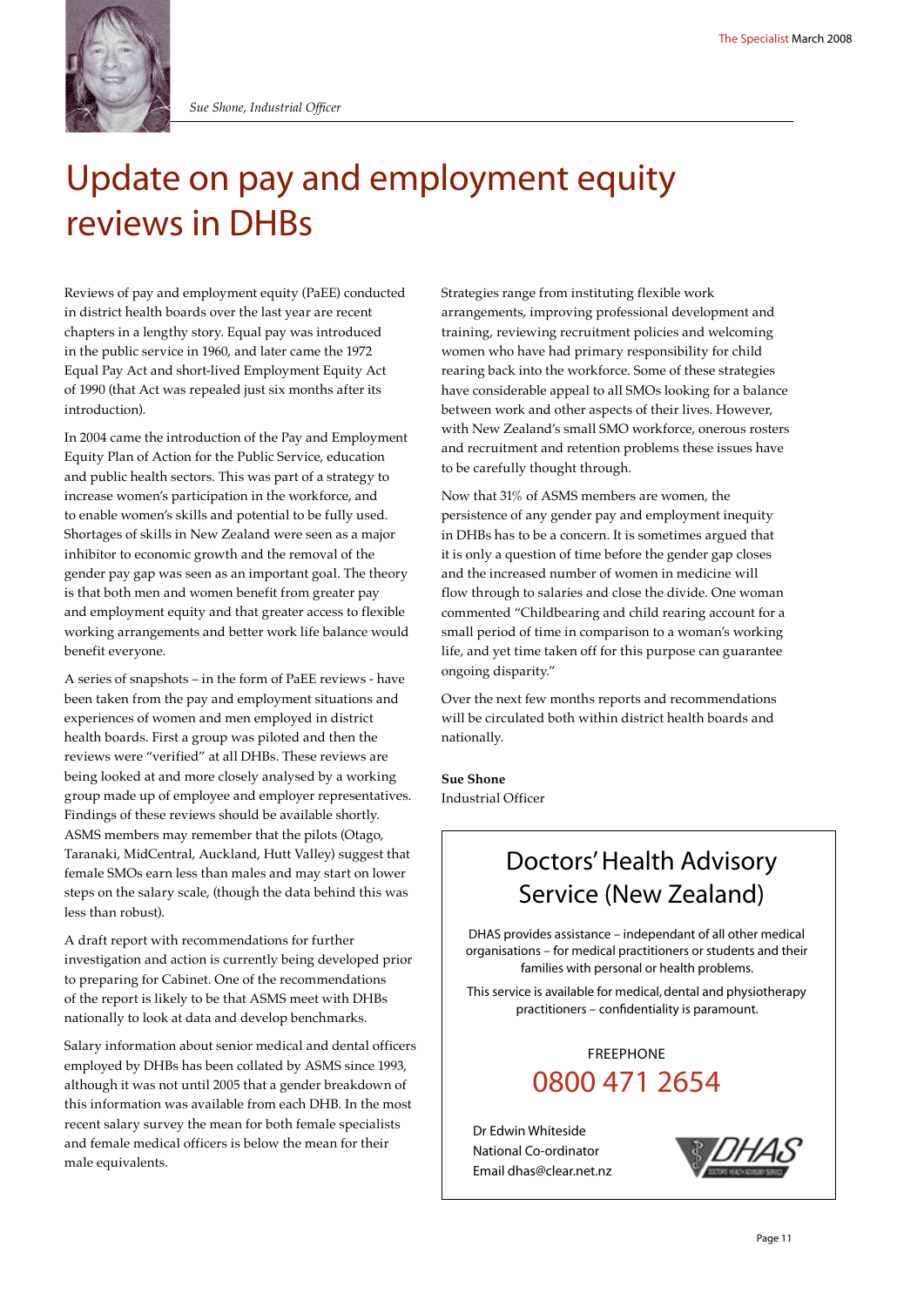

## Update on pay and employment equity reviews in DHBs

Reviews of pay and employment equity (PaEE) conducted in district health boards over the last year are recent chapters in a lengthy story. Equal pay was introduced in the public service in 1960, and later came the 1972 Equal Pay Act and short-lived Employment Equity Act of 1990 (that Act was repealed just six months after its introduction).

In 2004 came the introduction of the Pay and Employment Equity Plan of Action for the Public Service, education and public health sectors. This was part of a strategy to increase women's participation in the workforce, and to enable women's skills and potential to be fully used. Shortages of skills in New Zealand were seen as a major inhibitor to economic growth and the removal of the gender pay gap was seen as an important goal. The theory is that both men and women benefit from greater pay and employment equity and that greater access to flexible working arrangements and better work life balance would benefit everyone.

A series of snapshots – in the form of PaEE reviews - have been taken from the pay and employment situations and experiences of women and men employed in district health boards. First a group was piloted and then the reviews were "verified" at all DHBs. These reviews are being looked at and more closely analysed by a working group made up of employee and employer representatives. Findings of these reviews should be available shortly. ASMS members may remember that the pilots (Otago, Taranaki, MidCentral, Auckland, Hutt Valley) suggest that female SMOs earn less than males and may start on lower steps on the salary scale, (though the data behind this was less than robust).

A draft report with recommendations for further investigation and action is currently being developed prior to preparing for Cabinet. One of the recommendations of the report is likely to be that ASMS meet with DHBs nationally to look at data and develop benchmarks.

Salary information about senior medical and dental officers employed by DHBs has been collated by ASMS since 1993, although it was not until 2005 that a gender breakdown of this information was available from each DHB. In the most recent salary survey the mean for both female specialists and female medical officers is below the mean for their male equivalents.

Strategies range from instituting flexible work arrangements, improving professional development and training, reviewing recruitment policies and welcoming women who have had primary responsibility for child rearing back into the workforce. Some of these strategies have considerable appeal to all SMOs looking for a balance between work and other aspects of their lives. However, with New Zealand's small SMO workforce, onerous rosters and recruitment and retention problems these issues have to be carefully thought through.

Now that 31% of ASMS members are women, the persistence of any gender pay and employment inequity in DHBs has to be a concern. It is sometimes argued that it is only a question of time before the gender gap closes and the increased number of women in medicine will flow through to salaries and close the divide. One woman commented "Childbearing and child rearing account for a small period of time in comparison to a woman's working life, and yet time taken off for this purpose can guarantee ongoing disparity."

Over the next few months reports and recommendations will be circulated both within district health boards and nationally.

**Sue Shone** Industrial Officer

## Doctors' Health Advisory Service (New Zealand)

DHAS provides assistance – independant of all other medical organisations – for medical practitioners or students and their families with personal or health problems.

This service is available for medical, dental and physiotherapy practitioners – confidentiality is paramount.

#### 0800 471 2654 FREEPHONE

Dr Edwin Whiteside National Co-ordinator Email dhas@clear.net.nz